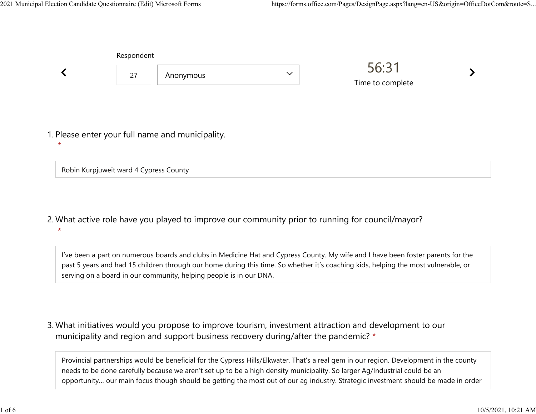|         | Respondent |                                                  |              |                           |  |  |
|---------|------------|--------------------------------------------------|--------------|---------------------------|--|--|
|         | 27         | Anonymous                                        | $\checkmark$ | 56:31<br>Time to complete |  |  |
|         |            |                                                  |              |                           |  |  |
| $\star$ |            | 1. Please enter your full name and municipality. |              |                           |  |  |

Robin Kurpjuweit ward 4 Cypress County

What active role have you played to improve our community prior to running for council/mayor? 2.  $\star$ 

I've been a part on numerous boards and clubs in Medicine Hat and Cypress County. My wife and I have been foster parents for the past 5 years and had 15 children through our home during this time. So whether it's coaching kids, helping the most vulnerable, or serving on a board in our community, helping people is in our DNA.

What initiatives would you propose to improve tourism, investment attraction and development to our 3. municipality and region and support business recovery during/after the pandemic? \*

Provincial partnerships would be beneficial for the Cypress Hills/Elkwater. That's a real gem in our region. Development in the county needs to be done carefully because we aren't set up to be a high density municipality. So larger Ag/Industrial could be an opportunity… our main focus though should be getting the most out of our ag industry. Strategic investment should be made in order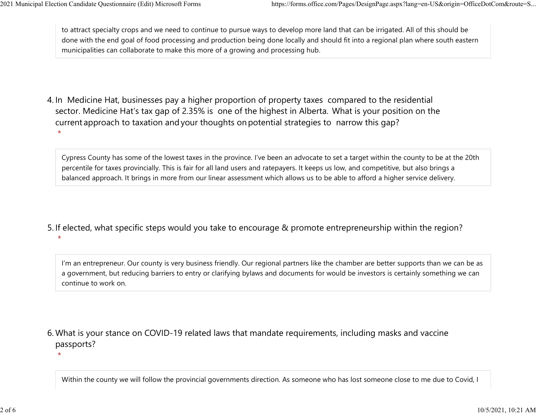to attract specialty crops and we need to continue to pursue ways to develop more land that can be irrigated. All of this should be done with the end goal of food processing and production being done locally and should fit into a regional plan where south eastern municipalities can collaborate to make this more of a growing and processing hub. 2021 Municipal Election Candidate Questionnaire (Edit) Microsoft Forms https://forms.office.com/Pages/DesignPage.aspx?lang=en-US&origin=OfficeDotCom&route=S...<br>
to attract specialty crops and we need to continue to pursue

4. In Medicine Hat, businesses pay a higher proportion of property taxes compared to the residential sector.  Medicine Hat's tax gap of 2.35% is one of the highest in Alberta.  What is your position on the current approach to taxation and your thoughts on potential strategies to narrow this gap?  $\star$ 

Cypress County has some of the lowest taxes in the province. I've been an advocate to set a target within the county to be at the 20th percentile for taxes provincially. This is fair for all land users and ratepayers. It keeps us low, and competitive, but also brings a balanced approach. It brings in more from our linear assessment which allows us to be able to afford a higher service delivery.

5. If elected, what specific steps would you take to encourage & promote entrepreneurship within the region?  $\star$ 

I'm an entrepreneur. Our county is very business friendly. Our regional partners like the chamber are better supports than we can be as a government, but reducing barriers to entry or clarifying bylaws and documents for would be investors is certainly something we can continue to work on.

What is your stance on COVID-19 related laws that mandate requirements, including masks and vaccine 6. passports?

 $\star$ 

Within the county we will follow the provincial governments direction. As someone who has lost someone close to me due to Covid, I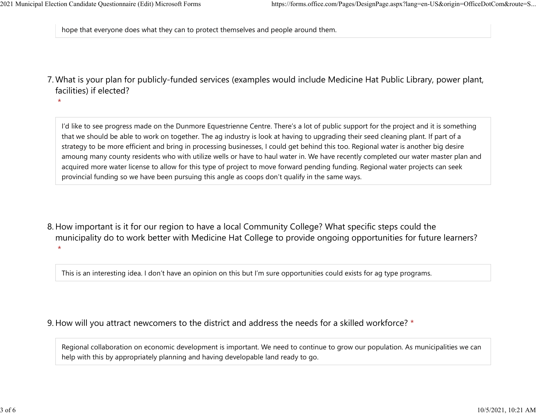$\star$ 

hope that everyone does what they can to protect themselves and people around them. 2021 Municipal Election Candidate Questionnaire (Edit) Microsoft Forms https://forms.office.com/Pages/DesignPage.aspx?lang=en-US&origin=OfficeDotCom&route=S...<br>
hope that everyone does what they can to protect themselves a

What is your plan for publicly-funded services (examples would include Medicine Hat Public Library, power plant, 7. facilities) if elected?

I'd like to see progress made on the Dunmore Equestrienne Centre. There's a lot of public support for the project and it is something that we should be able to work on together. The ag industry is look at having to upgrading their seed cleaning plant. If part of a strategy to be more efficient and bring in processing businesses, I could get behind this too. Regional water is another big desire amoung many county residents who with utilize wells or have to haul water in. We have recently completed our water master plan and acquired more water license to allow for this type of project to move forward pending funding. Regional water projects can seek provincial funding so we have been pursuing this angle as coops don't qualify in the same ways.

8. How important is it for our region to have a local Community College? What specific steps could the municipality do to work better with Medicine Hat College to provide ongoing opportunities for future learners?  $\star$ 

This is an interesting idea. I don't have an opinion on this but I'm sure opportunities could exists for ag type programs.

## 9. How will you attract newcomers to the district and address the needs for a skilled workforce? \*

Regional collaboration on economic development is important. We need to continue to grow our population. As municipalities we can help with this by appropriately planning and having developable land ready to go.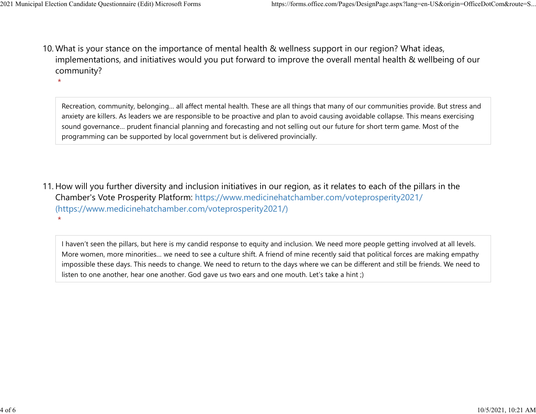$\star$ 

10. What is your stance on the importance of mental health & wellness support in our region? What ideas, implementations, and initiatives would you put forward to improve the overall mental health & wellbeing of our community? 2021 Municipal Election Candidate Questionnaire (Edit) Microsoft Forms https://forms.office.com/Pages/DesignPage.aspx?lang=en-US&origin=OfficeDotCom&route=S...<br>10 What is vour stance on the importance of mental bealth & we

> Recreation, community, belonging… all affect mental health. These are all things that many of our communities provide. But stress and anxiety are killers. As leaders we are responsible to be proactive and plan to avoid causing avoidable collapse. This means exercising sound governance… prudent financial planning and forecasting and not selling out our future for short term game. Most of the programming can be supported by local government but is delivered provincially.

11. How will you further diversity and inclusion initiatives in our region, as it relates to each of the pillars in the Chamber's Vote Prosperity Platform: https://www.medicinehatchamber.com/voteprosperity2021/ (https://www.medicinehatchamber.com/voteprosperity2021/)  $\star$ 

I haven't seen the pillars, but here is my candid response to equity and inclusion. We need more people getting involved at all levels. More women, more minorities… we need to see a culture shift. A friend of mine recently said that political forces are making empathy impossible these days. This needs to change. We need to return to the days where we can be different and still be friends. We need to listen to one another, hear one another. God gave us two ears and one mouth. Let's take a hint ;)